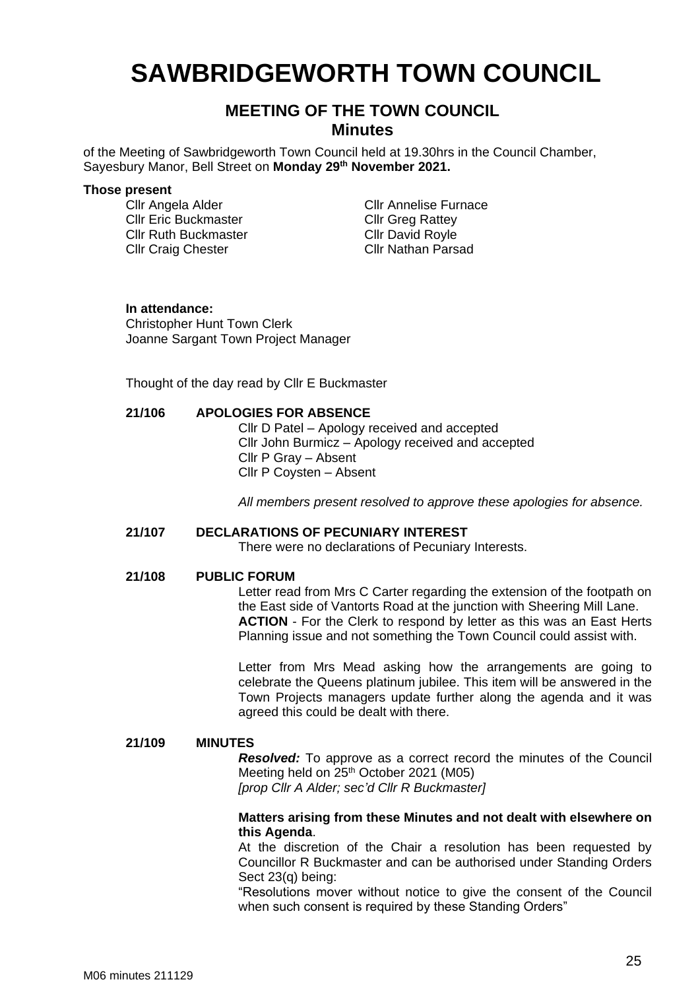# **SAWBRIDGEWORTH TOWN COUNCIL**

# **MEETING OF THE TOWN COUNCIL Minutes**

of the Meeting of Sawbridgeworth Town Council held at 19.30hrs in the Council Chamber, Sayesbury Manor, Bell Street on **Monday 29th November 2021.**

#### **Those present**

Cllr Eric Buckmaster Cllr Ruth Buckmaster Cllr Craig Chester

Cllr Angela Alder Cllr Annelise Furnace Cllr Greg Rattey Cllr David Royle Cllr Nathan Parsad

#### **In attendance:**

Christopher Hunt Town Clerk Joanne Sargant Town Project Manager

Thought of the day read by Cllr E Buckmaster

### **21/106 APOLOGIES FOR ABSENCE**

Cllr D Patel – Apology received and accepted Cllr John Burmicz – Apology received and accepted Cllr P Gray – Absent Cllr P Coysten – Absent

*All members present resolved to approve these apologies for absence.*

#### **21/107 DECLARATIONS OF PECUNIARY INTEREST**

There were no declarations of Pecuniary Interests.

#### **21/108 PUBLIC FORUM**

Letter read from Mrs C Carter regarding the extension of the footpath on the East side of Vantorts Road at the junction with Sheering Mill Lane. **ACTION** - For the Clerk to respond by letter as this was an East Herts Planning issue and not something the Town Council could assist with.

Letter from Mrs Mead asking how the arrangements are going to celebrate the Queens platinum jubilee. This item will be answered in the Town Projects managers update further along the agenda and it was agreed this could be dealt with there.

#### **21/109 MINUTES**

*Resolved:* To approve as a correct record the minutes of the Council Meeting held on 25<sup>th</sup> October 2021 (M05) *[prop Cllr A Alder; sec'd Cllr R Buckmaster]*

### **Matters arising from these Minutes and not dealt with elsewhere on this Agenda**.

At the discretion of the Chair a resolution has been requested by Councillor R Buckmaster and can be authorised under Standing Orders Sect 23(q) being:

"Resolutions mover without notice to give the consent of the Council when such consent is required by these Standing Orders"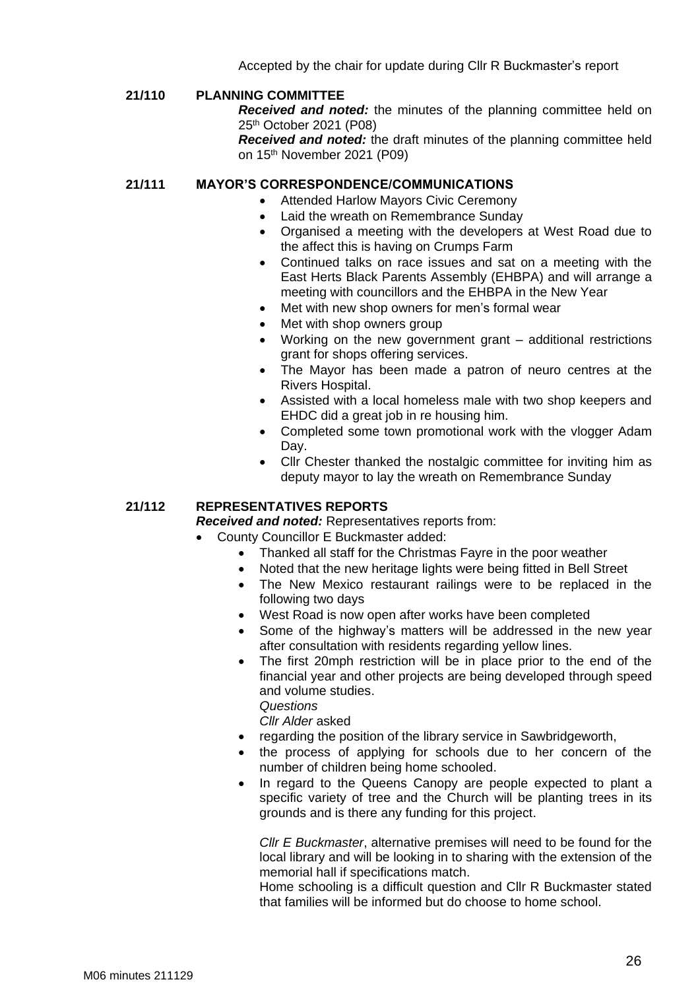Accepted by the chair for update during Cllr R Buckmaster's report

## **21/110 PLANNING COMMITTEE**

*Received and noted:* the minutes of the planning committee held on 25 th October 2021 (P08)

*Received and noted:* the draft minutes of the planning committee held on 15 th November 2021 (P09)

#### **21/111 MAYOR'S CORRESPONDENCE/COMMUNICATIONS**

- Attended Harlow Mayors Civic Ceremony
- Laid the wreath on Remembrance Sunday
- Organised a meeting with the developers at West Road due to the affect this is having on Crumps Farm
- Continued talks on race issues and sat on a meeting with the East Herts Black Parents Assembly (EHBPA) and will arrange a meeting with councillors and the EHBPA in the New Year
- Met with new shop owners for men's formal wear
- Met with shop owners group
- Working on the new government grant additional restrictions grant for shops offering services.
- The Mayor has been made a patron of neuro centres at the Rivers Hospital.
- Assisted with a local homeless male with two shop keepers and EHDC did a great job in re housing him.
- Completed some town promotional work with the vlogger Adam Day.
- Cllr Chester thanked the nostalgic committee for inviting him as deputy mayor to lay the wreath on Remembrance Sunday

#### **21/112 REPRESENTATIVES REPORTS**

*Received and noted:* Representatives reports from:

- County Councillor E Buckmaster added:
	- Thanked all staff for the Christmas Fayre in the poor weather
	- Noted that the new heritage lights were being fitted in Bell Street
	- The New Mexico restaurant railings were to be replaced in the following two days
	- West Road is now open after works have been completed
	- Some of the highway's matters will be addressed in the new year after consultation with residents regarding yellow lines.
	- The first 20mph restriction will be in place prior to the end of the financial year and other projects are being developed through speed and volume studies.

*Questions*

*Cllr Alder* asked

- regarding the position of the library service in Sawbridgeworth,
- the process of applying for schools due to her concern of the number of children being home schooled.
- In regard to the Queens Canopy are people expected to plant a specific variety of tree and the Church will be planting trees in its grounds and is there any funding for this project.

*Cllr E Buckmaster*, alternative premises will need to be found for the local library and will be looking in to sharing with the extension of the memorial hall if specifications match.

Home schooling is a difficult question and Cllr R Buckmaster stated that families will be informed but do choose to home school.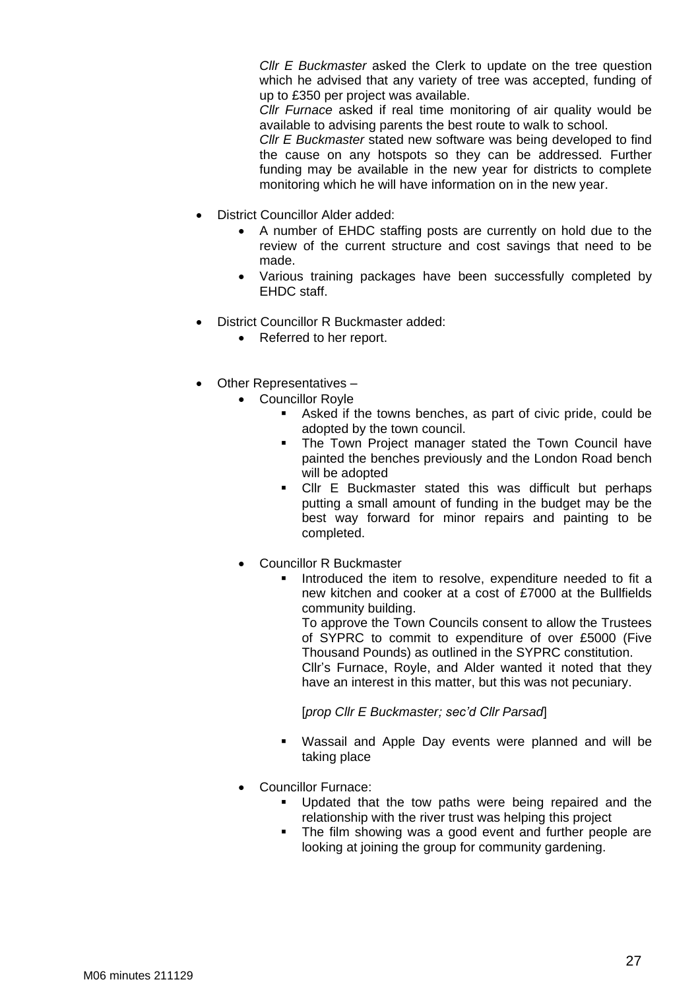*Cllr E Buckmaster* asked the Clerk to update on the tree question which he advised that any variety of tree was accepted, funding of up to £350 per project was available.

*Cllr Furnace* asked if real time monitoring of air quality would be available to advising parents the best route to walk to school.

*Cllr E Buckmaster* stated new software was being developed to find the cause on any hotspots so they can be addressed*.* Further funding may be available in the new year for districts to complete monitoring which he will have information on in the new year.

- District Councillor Alder added:
	- A number of EHDC staffing posts are currently on hold due to the review of the current structure and cost savings that need to be made.
	- Various training packages have been successfully completed by EHDC staff.
- District Councillor R Buckmaster added:
	- Referred to her report.
- Other Representatives
	- Councillor Royle
		- Asked if the towns benches, as part of civic pride, could be adopted by the town council.
		- The Town Project manager stated the Town Council have painted the benches previously and the London Road bench will be adopted
		- Cllr E Buckmaster stated this was difficult but perhaps putting a small amount of funding in the budget may be the best way forward for minor repairs and painting to be completed.
	- Councillor R Buckmaster
		- Introduced the item to resolve, expenditure needed to fit a new kitchen and cooker at a cost of £7000 at the Bullfields community building.

To approve the Town Councils consent to allow the Trustees of SYPRC to commit to expenditure of over £5000 (Five Thousand Pounds) as outlined in the SYPRC constitution. Cllr's Furnace, Royle, and Alder wanted it noted that they have an interest in this matter, but this was not pecuniary.

[*prop Cllr E Buckmaster; sec'd Cllr Parsad*]

- Wassail and Apple Day events were planned and will be taking place
- Councillor Furnace:
	- Updated that the tow paths were being repaired and the relationship with the river trust was helping this project
	- The film showing was a good event and further people are looking at joining the group for community gardening.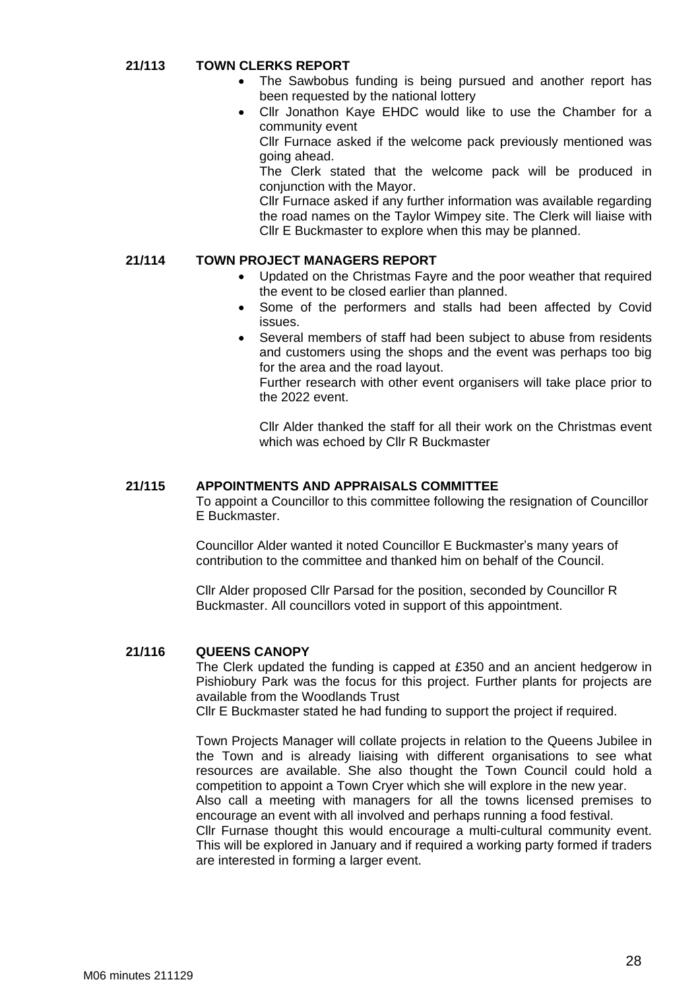### **21/113 TOWN CLERKS REPORT**

- The Sawbobus funding is being pursued and another report has been requested by the national lottery
- Cllr Jonathon Kaye EHDC would like to use the Chamber for a community event

Cllr Furnace asked if the welcome pack previously mentioned was going ahead.

The Clerk stated that the welcome pack will be produced in conjunction with the Mayor.

Cllr Furnace asked if any further information was available regarding the road names on the Taylor Wimpey site. The Clerk will liaise with Cllr E Buckmaster to explore when this may be planned.

### **21/114 TOWN PROJECT MANAGERS REPORT**

- Updated on the Christmas Fayre and the poor weather that required the event to be closed earlier than planned.
- Some of the performers and stalls had been affected by Covid issues.
- Several members of staff had been subject to abuse from residents and customers using the shops and the event was perhaps too big for the area and the road layout.

Further research with other event organisers will take place prior to the 2022 event.

Cllr Alder thanked the staff for all their work on the Christmas event which was echoed by Cllr R Buckmaster

### **21/115 APPOINTMENTS AND APPRAISALS COMMITTEE**

To appoint a Councillor to this committee following the resignation of Councillor E Buckmaster.

Councillor Alder wanted it noted Councillor E Buckmaster's many years of contribution to the committee and thanked him on behalf of the Council.

Cllr Alder proposed Cllr Parsad for the position, seconded by Councillor R Buckmaster. All councillors voted in support of this appointment.

#### **21/116 QUEENS CANOPY**

The Clerk updated the funding is capped at £350 and an ancient hedgerow in Pishiobury Park was the focus for this project. Further plants for projects are available from the Woodlands Trust

Cllr E Buckmaster stated he had funding to support the project if required.

Town Projects Manager will collate projects in relation to the Queens Jubilee in the Town and is already liaising with different organisations to see what resources are available. She also thought the Town Council could hold a competition to appoint a Town Cryer which she will explore in the new year. Also call a meeting with managers for all the towns licensed premises to

encourage an event with all involved and perhaps running a food festival.

Cllr Furnase thought this would encourage a multi-cultural community event. This will be explored in January and if required a working party formed if traders are interested in forming a larger event.